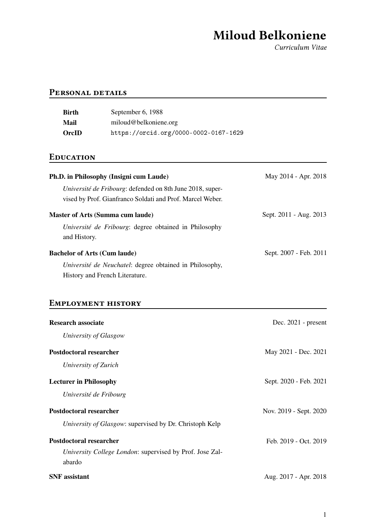# Miloud Belkoniene

Curriculum Vitae

### PERSONAL DETAILS

| <b>Birth</b><br><b>Mail</b><br>OrcID                    | September 6, 1988<br>miloud@belkoniene.org<br>https://orcid.org/0000-0002-0167-1629                                    |                        |
|---------------------------------------------------------|------------------------------------------------------------------------------------------------------------------------|------------------------|
| <b>EDUCATION</b>                                        |                                                                                                                        |                        |
|                                                         | Ph.D. in Philosophy (Insigni cum Laude)                                                                                | May 2014 - Apr. 2018   |
|                                                         | Université de Fribourg: defended on 8th June 2018, super-<br>vised by Prof. Gianfranco Soldati and Prof. Marcel Weber. |                        |
| and History.                                            | <b>Master of Arts (Summa cum laude)</b><br>Université de Fribourg: degree obtained in Philosophy                       | Sept. 2011 - Aug. 2013 |
| <b>Bachelor of Arts (Cum laude)</b>                     | Université de Neuchatel: degree obtained in Philosophy,<br>History and French Literature.                              | Sept. 2007 - Feb. 2011 |
|                                                         | <b>EMPLOYMENT HISTORY</b>                                                                                              |                        |
| <b>Research associate</b><br>University of Glasgow      |                                                                                                                        | Dec. 2021 - present    |
| <b>Postdoctoral researcher</b>                          |                                                                                                                        | May 2021 - Dec. 2021   |
| University of Zurich                                    |                                                                                                                        |                        |
| <b>Lecturer in Philosophy</b><br>Université de Fribourg |                                                                                                                        | Sept. 2020 - Feb. 2021 |
| <b>Postdoctoral researcher</b>                          |                                                                                                                        | Nov. 2019 - Sept. 2020 |

*University of Glasgow*: supervised by Dr. Christoph Kelp

| Postdoctoral researcher                                         | Feb. 2019 - Oct. 2019 |
|-----------------------------------------------------------------|-----------------------|
| <i>University College London:</i> supervised by Prof. Jose Zal- |                       |
| abardo                                                          |                       |
| <b>SNF</b> assistant                                            | Aug. 2017 - Apr. 2018 |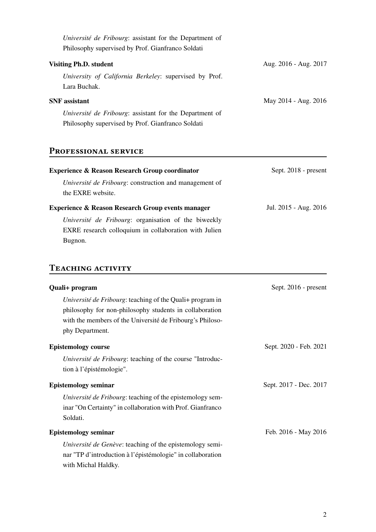| Université de Fribourg: assistant for the Department of<br>Philosophy supervised by Prof. Gianfranco Soldati |                       |
|--------------------------------------------------------------------------------------------------------------|-----------------------|
| <b>Visiting Ph.D. student</b>                                                                                | Aug. 2016 - Aug. 2017 |
| University of California Berkeley: supervised by Prof.<br>Lara Buchak.                                       |                       |
| <b>SNF</b> assistant                                                                                         | May 2014 - Aug. 2016  |
| Université de Fribourg: assistant for the Department of<br>Philosophy supervised by Prof. Gianfranco Soldati |                       |

# PROFESSIONAL SERVICE

| <b>Experience &amp; Reason Research Group coordinator</b>                                                                | Sept. 2018 - present  |
|--------------------------------------------------------------------------------------------------------------------------|-----------------------|
| Université de Fribourg: construction and management of<br>the EXRE website.                                              |                       |
| <b>Experience &amp; Reason Research Group events manager</b>                                                             | Jul. 2015 - Aug. 2016 |
| Université de Fribourg: organisation of the biweekly<br>EXRE research colloquium in collaboration with Julien<br>Bugnon. |                       |

# TEACHING ACTIVITY

| Quali+ program                                                                                                                                                                                       | Sept. 2016 - present   |
|------------------------------------------------------------------------------------------------------------------------------------------------------------------------------------------------------|------------------------|
| Université de Fribourg: teaching of the Quali+ program in<br>philosophy for non-philosophy students in collaboration<br>with the members of the Université de Fribourg's Philoso-<br>phy Department. |                        |
| <b>Epistemology course</b><br>Université de Fribourg: teaching of the course "Introduc-<br>tion à l'épistémologie".                                                                                  | Sept. 2020 - Feb. 2021 |
| <b>Epistemology seminar</b><br>Université de Fribourg: teaching of the epistemology sem-<br>inar "On Certainty" in collaboration with Prof. Gianfranco<br>Soldati.                                   | Sept. 2017 - Dec. 2017 |
| <b>Epistemology seminar</b><br>Université de Genève: teaching of the epistemology semi-<br>nar "TP d'introduction à l'épistémologie" in collaboration<br>with Michal Haldky.                         | Feb. 2016 - May 2016   |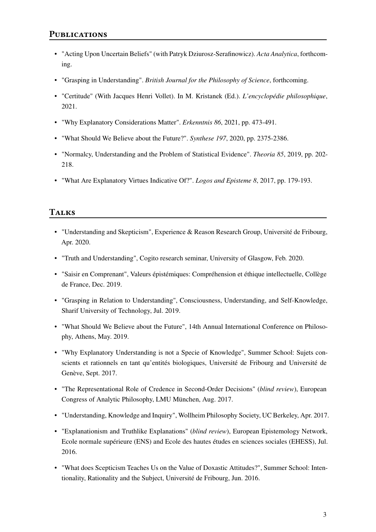### **PUBLICATIONS**

- "Acting Upon Uncertain Beliefs" (with Patryk Dziurosz-Serafinowicz). *Acta Analytica*, forthcoming.
- "Grasping in Understanding". *British Journal for the Philosophy of Science*, forthcoming.
- "Certitude" (With Jacques Henri Vollet). In M. Kristanek (Ed.). *L'encyclopédie philosophique*, 2021.
- "Why Explanatory Considerations Matter". *Erkenntnis 86*, 2021, pp. 473-491.
- "What Should We Believe about the Future?". *Synthese 197*, 2020, pp. 2375-2386.
- "Normalcy, Understanding and the Problem of Statistical Evidence". *Theoria 85*, 2019, pp. 202- 218.
- "What Are Explanatory Virtues Indicative Of?". *Logos and Episteme 8*, 2017, pp. 179-193.

### **TALKS**

- "Understanding and Skepticism", Experience & Reason Research Group, Université de Fribourg, Apr. 2020.
- "Truth and Understanding", Cogito research seminar, University of Glasgow, Feb. 2020.
- "Saisir en Comprenant", Valeurs épistémiques: Compréhension et éthique intellectuelle, Collège de France, Dec. 2019.
- "Grasping in Relation to Understanding", Consciousness, Understanding, and Self-Knowledge, Sharif University of Technology, Jul. 2019.
- "What Should We Believe about the Future", 14th Annual International Conference on Philosophy, Athens, May. 2019.
- "Why Explanatory Understanding is not a Specie of Knowledge", Summer School: Sujets conscients et rationnels en tant qu'entités biologiques, Université de Fribourg and Université de Genève, Sept. 2017.
- "The Representational Role of Credence in Second-Order Decisions" (*blind review*), European Congress of Analytic Philosophy, LMU München, Aug. 2017.
- "Understanding, Knowledge and Inquiry", Wollheim Philosophy Society, UC Berkeley, Apr. 2017.
- "Explanationism and Truthlike Explanations" (*blind review*), European Epistemology Network, Ecole normale supérieure (ENS) and Ecole des hautes études en sciences sociales (EHESS), Jul. 2016.
- "What does Scepticism Teaches Us on the Value of Doxastic Attitudes?", Summer School: Intentionality, Rationality and the Subject, Université de Fribourg, Jun. 2016.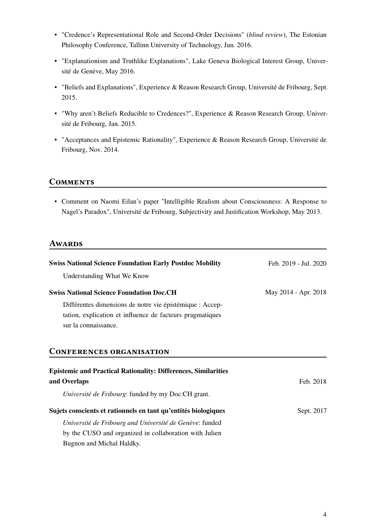- "Credence's Representational Role and Second-Order Decisions" (*blind review*), The Estonian Philosophy Conference, Tallinn University of Technology, Jun. 2016.
- "Explanationism and Truthlike Explanations", Lake Geneva Biological Interest Group, Université de Genève, May 2016.
- "Beliefs and Explanations", Experience & Reason Research Group, Université de Fribourg, Sept. 2015.
- "Why aren't Beliefs Reducible to Credences?", Experience & Reason Research Group, Université de Fribourg, Jan. 2015.
- "Acceptances and Epistemic Rationality", Experience & Reason Research Group, Université de Fribourg, Nov. 2014.

#### **COMMENTS**

• Comment on Naomi Eilan's paper "Intelligible Realism about Consciousness: A Response to Nagel's Paradox", Université de Fribourg, Subjectivity and Justification Workshop, May 2013.

### **AWARDS**

| <b>Swiss National Science Foundation Early Postdoc Mobility</b>       | Feb. 2019 - Jul. 2020 |
|-----------------------------------------------------------------------|-----------------------|
| Understanding What We Know                                            |                       |
| <b>Swiss National Science Foundation Doc.CH</b>                       | May 2014 - Apr. 2018  |
| Différentes dimensions de notre vie épistémique : Accep-              |                       |
| tation, explication et influence de facteurs pragmatiques             |                       |
| sur la connaissance.                                                  |                       |
|                                                                       |                       |
| <b>CONFERENCES ORGANISATION</b>                                       |                       |
| <b>Epistemic and Practical Rationality: Differences, Similarities</b> |                       |
| and Overlaps                                                          | Feb. 2018             |
| Université de Fribourg: funded by my Doc.CH grant.                    |                       |
| Sujets conscients et rationnels en tant qu'entités biologiques        | Sept. 2017            |
| Université de Fribourg and Université de Genève: funded               |                       |
| by the CUSO and organized in collaboration with Julien                |                       |
| Bugnon and Michal Haldky.                                             |                       |